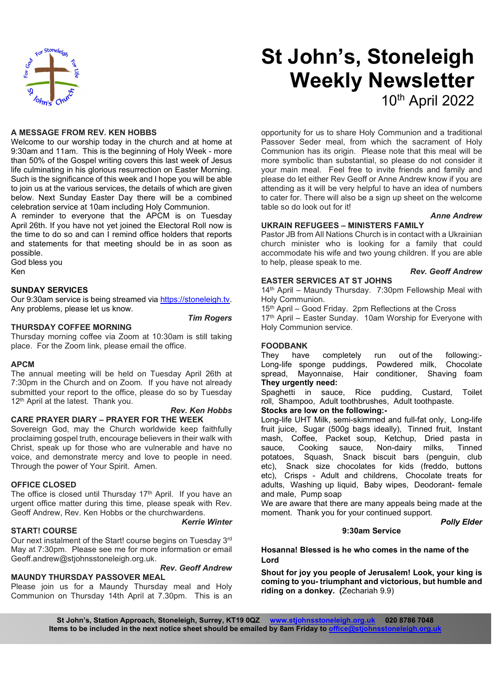

# St John's, Stoneleigh Weekly Newsletter 10th April 2022

#### A MESSAGE FROM REV. KEN HOBBS

Welcome to our worship today in the church and at home at 9:30am and 11am. This is the beginning of Holy Week - more than 50% of the Gospel writing covers this last week of Jesus life culminating in his glorious resurrection on Easter Morning. Such is the significance of this week and I hope you will be able to join us at the various services, the details of which are given below. Next Sunday Easter Day there will be a combined celebration service at 10am including Holy Communion.

A reminder to everyone that the APCM is on Tuesday April 26th. If you have not yet joined the Electoral Roll now is the time to do so and can I remind office holders that reports and statements for that meeting should be in as soon as possible.

God bless you Ken

#### SUNDAY SERVICES

Our 9:30am service is being streamed via https://stoneleigh.tv.<br>Any problems, please let us know.

#### THURSDAY COFFEE MORNING

Thursday morning coffee via Zoom at 10:30am is still taking place. For the Zoom link, please email the office.

#### APCM

The annual meeting will be held on Tuesday April 26th at 7:30pm in the Church and on Zoom. If you have not already submitted your report to the office, please do so by Tuesday Spaghetti in sauce, 12<sup>th</sup> April at the latest. Thank you.

### CARE PRAYER DIARY – PRAYER FOR THE WEEK

Sovereign God, may the Church worldwide keep faithfully proclaiming gospel truth, encourage believers in their walk with Christ, speak up for those who are vulnerable and have no voice, and demonstrate mercy and love to people in need. Through the power of Your Spirit. Amen.

#### OFFICE CLOSED

The office is closed until Thursday  $17<sup>th</sup>$  April. If you have an urgent office matter during this time, please speak with Rev. Geoff Andrew, Rev. Ken Hobbs or the churchwardens.

### START! COURSE

Kerrie Winter

Our next instalment of the Start! course begins on Tuesday 3rd May at 7:30pm. Please see me for more information or email Geoff.andrew@stjohnsstoneleigh.org.uk.

#### Rev. Geoff Andrew MAUNDY THURSDAY PASSOVER MEAL

Please join us for a Maundy Thursday meal and Holy Communion on Thursday 14th April at 7.30pm. This is an opportunity for us to share Holy Communion and a traditional Passover Seder meal, from which the sacrament of Holy Communion has its origin. Please note that this meal will be more symbolic than substantial, so please do not consider it your main meal. Feel free to invite friends and family and please do let either Rev Geoff or Anne Andrew know if you are attending as it will be very helpful to have an idea of numbers to cater for. There will also be a sign up sheet on the welcome table so do look out for it!

#### Anne Andrew

#### UKRAIN REFUGEES – MINISTERS FAMILY

Pastor JB from All Nations Church is in contact with a Ukrainian church minister who is looking for a family that could accommodate his wife and two young children. If you are able to help, please speak to me.

#### Rev. Geoff Andrew

#### EASTER SERVICES AT ST JOHNS

14th April – Maundy Thursday. 7:30pm Fellowship Meal with Holy Communion.

15th April – Good Friday. 2pm Reflections at the Cross

**Tim Rogers** 17<sup>th</sup> April – Easter Sunday. 10am Worship for Everyone with Holy Communion service.

#### FOODBANK

They have completely run out of the following:- Long-life sponge puddings, Powdered milk, Chocolate Hair conditioner, Shaving foam They urgently need:

Rice pudding, Custard, Toilet roll, Shampoo, Adult toothbrushes, Adult toothpaste.

#### Rev. Ken Hobbs Stocks are low on the following:-

Long-life UHT Milk, semi-skimmed and full-fat only, Long-life fruit juice, Sugar (500g bags ideally), Tinned fruit, Instant mash, Coffee, Packet soup, Ketchup, Dried pasta in sauce, Non-dairy milks, Tinned potatoes, Squash, Snack biscuit bars (penguin, club etc), Snack size chocolates for kids (freddo, buttons etc), Crisps - Adult and childrens, Chocolate treats for adults, Washing up liquid, Baby wipes, Deodorant- female and male, Pump soap

We are aware that there are many appeals being made at the moment. Thank you for your continued support.

Polly Elder

#### 9:30am Service

Hosanna! Blessed is he who comes in the name of the Lord

Shout for joy you people of Jerusalem! Look, your king is coming to you- triumphant and victorious, but humble and riding on a donkey. (Zechariah 9.9)

St John's, Station Approach, Stoneleigh, Surrey, KT19 0QZ www.stjohnsstoneleigh.org.uk 020 8786 7048 Items to be included in the next notice sheet should be emailed by 8am Friday to office@stjohns